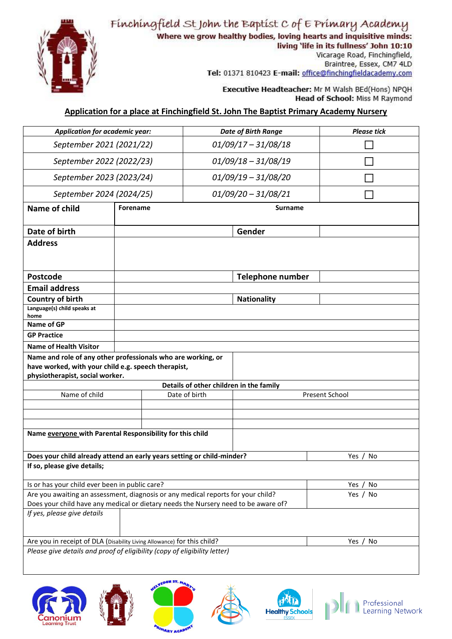

Where we grow healthy bodies, loving hearts and inquisitive minds:



living 'life in its fullness' John 10:10

Vicarage Road, Finchingfield, Braintree, Essex, CM7 4LD Tel: 01371 810423 E-mail: office@finchingfieldacademy.com

Executive Headteacher: Mr M Walsh BEd(Hons) NPQH **Head of School: Miss M Raymond** 

## **Application for a place at Finchingfield St. John The Baptist Primary Academy Nursery**

| Application for academic year:                                                                                                                         |                          | <b>Date of Birth Range</b> |                       | <b>Please tick</b>                      |                |  |
|--------------------------------------------------------------------------------------------------------------------------------------------------------|--------------------------|----------------------------|-----------------------|-----------------------------------------|----------------|--|
| September 2021 (2021/22)                                                                                                                               |                          | $01/09/17 - 31/08/18$      |                       |                                         |                |  |
| September 2022 (2022/23)                                                                                                                               |                          | $01/09/18 - 31/08/19$      |                       |                                         |                |  |
| September 2023 (2023/24)                                                                                                                               |                          | $01/09/19 - 31/08/20$      |                       |                                         |                |  |
|                                                                                                                                                        | September 2024 (2024/25) |                            | $01/09/20 - 31/08/21$ |                                         |                |  |
| Name of child                                                                                                                                          | <b>Forename</b>          |                            |                       | <b>Surname</b>                          |                |  |
| Date of birth                                                                                                                                          |                          |                            |                       | Gender                                  |                |  |
| <b>Address</b>                                                                                                                                         |                          |                            |                       |                                         |                |  |
| <b>Postcode</b>                                                                                                                                        |                          |                            |                       | <b>Telephone number</b>                 |                |  |
| <b>Email address</b>                                                                                                                                   |                          |                            |                       |                                         |                |  |
| <b>Country of birth</b>                                                                                                                                |                          |                            |                       | <b>Nationality</b>                      |                |  |
| Language(s) child speaks at<br>home                                                                                                                    |                          |                            |                       |                                         |                |  |
| Name of GP                                                                                                                                             |                          |                            |                       |                                         |                |  |
| <b>GP Practice</b>                                                                                                                                     |                          |                            |                       |                                         |                |  |
| <b>Name of Health Visitor</b>                                                                                                                          |                          |                            |                       |                                         |                |  |
| Name and role of any other professionals who are working, or<br>have worked, with your child e.g. speech therapist,<br>physiotherapist, social worker. |                          |                            |                       |                                         |                |  |
| Name of child                                                                                                                                          |                          |                            | Date of birth         | Details of other children in the family | Present School |  |
|                                                                                                                                                        |                          |                            |                       |                                         |                |  |
|                                                                                                                                                        |                          |                            |                       |                                         |                |  |
|                                                                                                                                                        |                          |                            |                       |                                         |                |  |
| Name everyone with Parental Responsibility for this child                                                                                              |                          |                            |                       |                                         |                |  |
| Does your child already attend an early years setting or child-minder?                                                                                 |                          |                            |                       |                                         | Yes / No       |  |
| If so, please give details;                                                                                                                            |                          |                            |                       |                                         |                |  |
| Is or has your child ever been in public care?                                                                                                         |                          |                            |                       |                                         | Yes / No       |  |
| Are you awaiting an assessment, diagnosis or any medical reports for your child?                                                                       |                          |                            |                       |                                         | Yes / No       |  |
| Does your child have any medical or dietary needs the Nursery need to be aware of?<br>If yes, please give details                                      |                          |                            |                       |                                         |                |  |
|                                                                                                                                                        |                          |                            |                       |                                         |                |  |
| Are you in receipt of DLA (Disability Living Allowance) for this child?                                                                                |                          |                            |                       |                                         | Yes / No       |  |
| Please give details and proof of eligibility (copy of eligibility letter)                                                                              |                          |                            |                       |                                         |                |  |